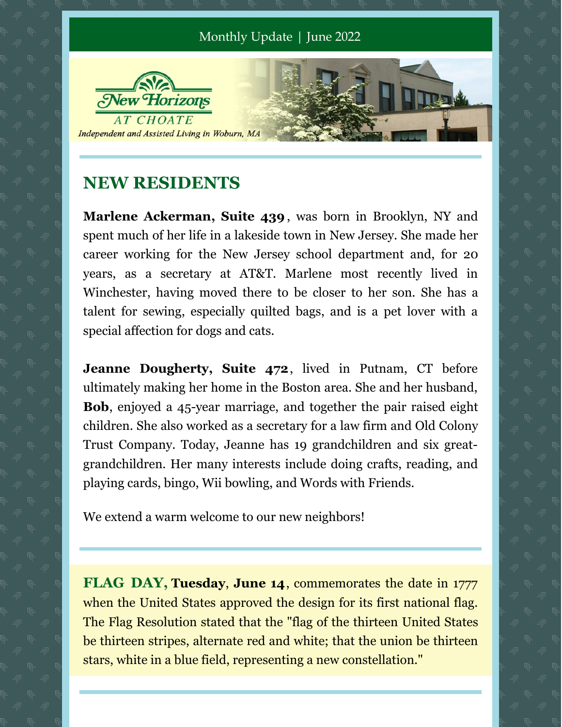### Monthly Update | June 2022



## **NEW RESIDENTS**

Independent and Assisted Living in Woburn, MA

**Marlene Ackerman, Suite 439** , was born in Brooklyn, NY and spent much of her life in a lakeside town in New Jersey. She made her career working for the New Jersey school department and, for 20 years, as a secretary at AT&T. Marlene most recently lived in Winchester, having moved there to be closer to her son. She has a talent for sewing, especially quilted bags, and is a pet lover with a special affection for dogs and cats.

**Jeanne Dougherty, Suite 472**, lived in Putnam, CT before ultimately making her home in the Boston area. She and her husband, **Bob**, enjoyed a 45-year marriage, and together the pair raised eight children. She also worked as a secretary for a law firm and Old Colony Trust Company. Today, Jeanne has 19 grandchildren and six greatgrandchildren. Her many interests include doing crafts, reading, and playing cards, bingo, Wii bowling, and Words with Friends.

We extend a warm welcome to our new neighbors!

**FLAG DAY, Tuesday**, **June 14**, commemorates the date in 1777 when the United States approved the design for its first national flag. The Flag Resolution stated that the "flag of the thirteen United States be thirteen stripes, alternate red and white; that the union be thirteen stars, white in a blue field, representing a new constellation."